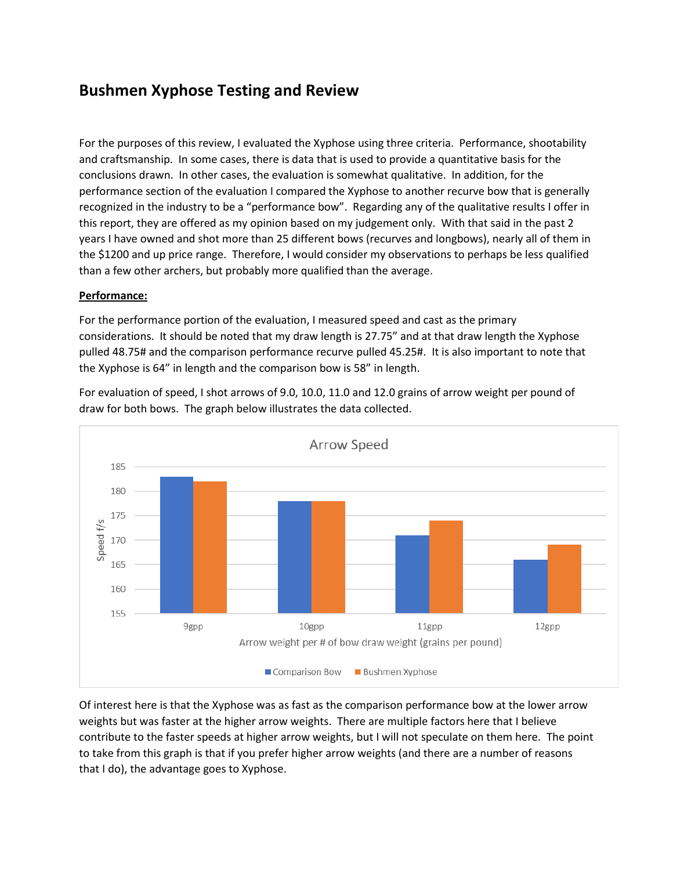# **Bushmen Xyphose Testing and Review**

For the purposes of this review, I evaluated the Xyphose using three criteria. Performance, shootability and craftsmanship. In some cases, there is data that is used to provide a quantitative basis for the conclusions drawn. In other cases, the evaluation is somewhat qualitative. In addition, for the performance section of the evaluation I compared the Xyphose to another recurve bow that is generally recognized in the industry to be a "performance bow". Regarding any of the qualitative results I offer in this report, they are offered as my opinion based on my judgement only. With that said in the past 2 years I have owned and shot more than 25 different bows (recurves and longbows), nearly all of them in the \$1200 and up price range. Therefore, I would consider my observations to perhaps be less qualified than a few other archers, but probably more qualified than the average.

### **Performance:**

For the performance portion of the evaluation, I measured speed and cast as the primary considerations. It should be noted that my draw length is 27.75" and at that draw length the Xyphose pulled 48.75# and the comparison performance recurve pulled 45.25#. It is also important to note that the Xyphose is 64" in length and the comparison bow is 58" in length.



For evaluation of speed, I shot arrows of 9.0, 10.0, 11.0 and 12.0 grains of arrow weight per pound of draw for both bows. The graph below illustrates the data collected.

Of interest here is that the Xyphose was as fast as the comparison performance bow at the lower arrow weights but was faster at the higher arrow weights. There are multiple factors here that I believe contribute to the faster speeds at higher arrow weights, but I will not speculate on them here. The point to take from this graph is that if you prefer higher arrow weights (and there are a number of reasons that I do), the advantage goes to Xyphose.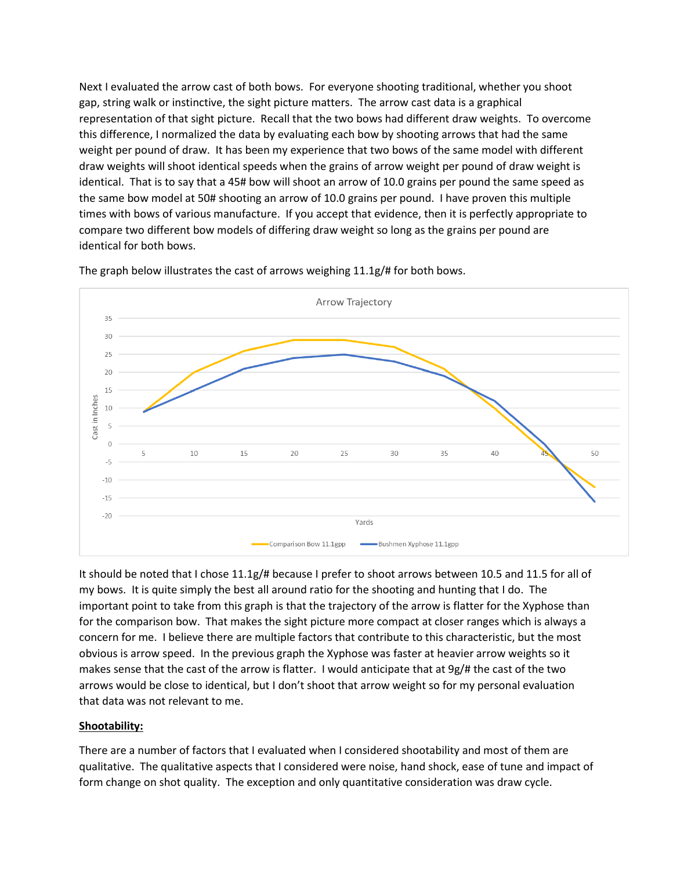Next I evaluated the arrow cast of both bows. For everyone shooting traditional, whether you shoot gap, string walk or instinctive, the sight picture matters. The arrow cast data is a graphical representation of that sight picture. Recall that the two bows had different draw weights. To overcome this difference, I normalized the data by evaluating each bow by shooting arrows that had the same weight per pound of draw. It has been my experience that two bows of the same model with different draw weights will shoot identical speeds when the grains of arrow weight per pound of draw weight is identical. That is to say that a 45# bow will shoot an arrow of 10.0 grains per pound the same speed as the same bow model at 50# shooting an arrow of 10.0 grains per pound. I have proven this multiple times with bows of various manufacture. If you accept that evidence, then it is perfectly appropriate to compare two different bow models of differing draw weight so long as the grains per pound are identical for both bows.



The graph below illustrates the cast of arrows weighing 11.1g/# for both bows.

It should be noted that I chose 11.1g/# because I prefer to shoot arrows between 10.5 and 11.5 for all of my bows. It is quite simply the best all around ratio for the shooting and hunting that I do. The important point to take from this graph is that the trajectory of the arrow is flatter for the Xyphose than for the comparison bow. That makes the sight picture more compact at closer ranges which is always a concern for me. I believe there are multiple factors that contribute to this characteristic, but the most obvious is arrow speed. In the previous graph the Xyphose was faster at heavier arrow weights so it makes sense that the cast of the arrow is flatter. I would anticipate that at  $9g/t$  the cast of the two arrows would be close to identical, but I don't shoot that arrow weight so for my personal evaluation that data was not relevant to me.

### **Shootability:**

There are a number of factors that I evaluated when I considered shootability and most of them are qualitative. The qualitative aspects that I considered were noise, hand shock, ease of tune and impact of form change on shot quality. The exception and only quantitative consideration was draw cycle.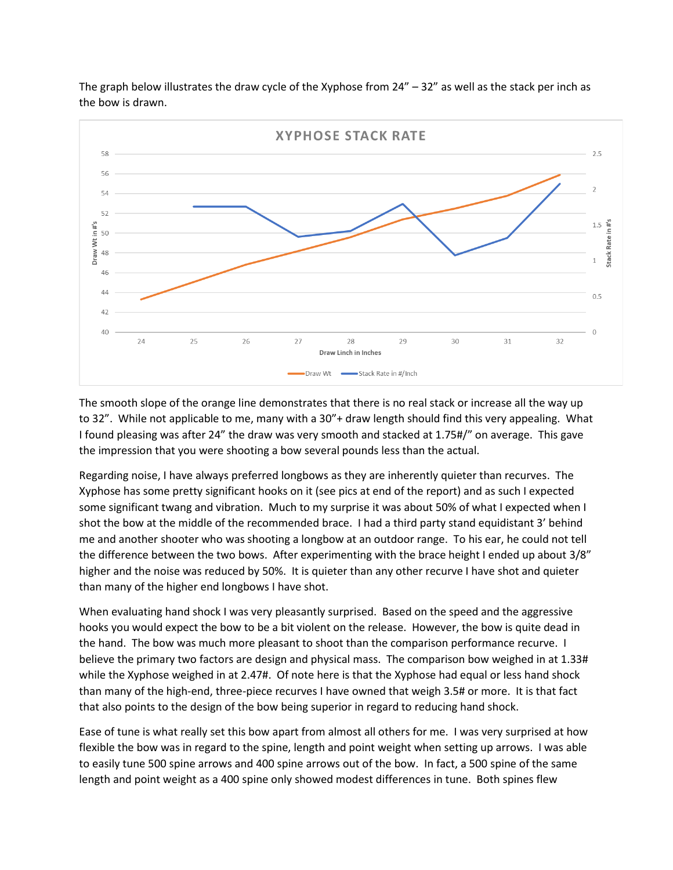

The graph below illustrates the draw cycle of the Xyphose from  $24'' - 32''$  as well as the stack per inch as the bow is drawn.

The smooth slope of the orange line demonstrates that there is no real stack or increase all the way up to 32". While not applicable to me, many with a 30"+ draw length should find this very appealing. What I found pleasing was after 24" the draw was very smooth and stacked at 1.75#/" on average. This gave the impression that you were shooting a bow several pounds less than the actual.

Regarding noise, I have always preferred longbows as they are inherently quieter than recurves. The Xyphose has some pretty significant hooks on it (see pics at end of the report) and as such I expected some significant twang and vibration. Much to my surprise it was about 50% of what I expected when I shot the bow at the middle of the recommended brace. I had a third party stand equidistant 3' behind me and another shooter who was shooting a longbow at an outdoor range. To his ear, he could not tell the difference between the two bows. After experimenting with the brace height I ended up about 3/8" higher and the noise was reduced by 50%. It is quieter than any other recurve I have shot and quieter than many of the higher end longbows I have shot.

When evaluating hand shock I was very pleasantly surprised. Based on the speed and the aggressive hooks you would expect the bow to be a bit violent on the release. However, the bow is quite dead in the hand. The bow was much more pleasant to shoot than the comparison performance recurve. I believe the primary two factors are design and physical mass. The comparison bow weighed in at 1.33# while the Xyphose weighed in at 2.47#. Of note here is that the Xyphose had equal or less hand shock than many of the high-end, three-piece recurves I have owned that weigh 3.5# or more. It is that fact that also points to the design of the bow being superior in regard to reducing hand shock.

Ease of tune is what really set this bow apart from almost all others for me. I was very surprised at how flexible the bow was in regard to the spine, length and point weight when setting up arrows. I was able to easily tune 500 spine arrows and 400 spine arrows out of the bow. In fact, a 500 spine of the same length and point weight as a 400 spine only showed modest differences in tune. Both spines flew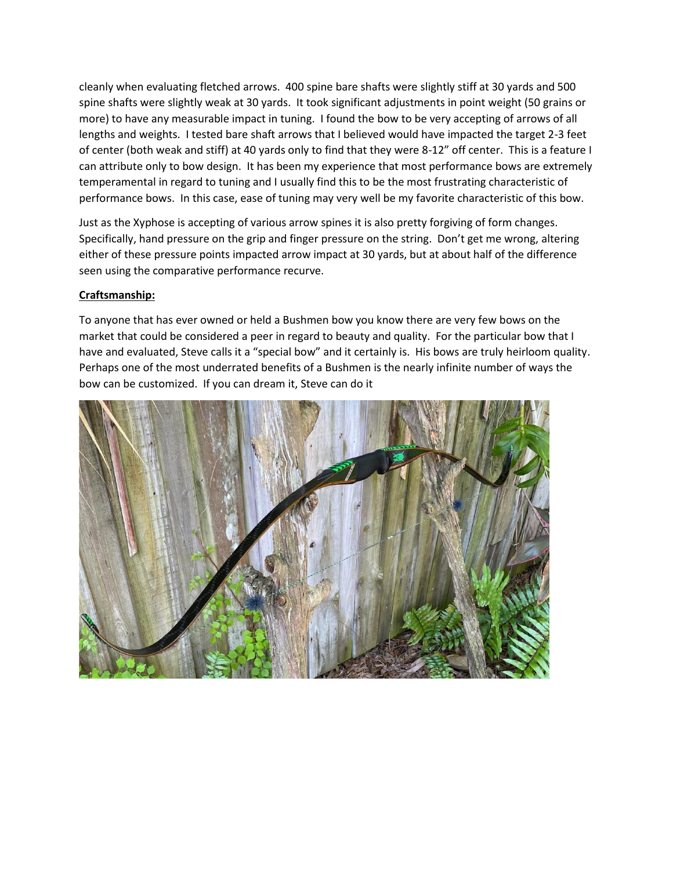cleanly when evaluating fletched arrows. 400 spine bare shafts were slightly stiff at 30 yards and 500 spine shafts were slightly weak at 30 yards. It took significant adjustments in point weight (50 grains or more) to have any measurable impact in tuning. I found the bow to be very accepting of arrows of all lengths and weights. I tested bare shaft arrows that I believed would have impacted the target 2-3 feet of center (both weak and stiff) at 40 yards only to find that they were 8-12" off center. This is a feature I can attribute only to bow design. It has been my experience that most performance bows are extremely temperamental in regard to tuning and I usually find this to be the most frustrating characteristic of performance bows. In this case, ease of tuning may very well be my favorite characteristic of this bow.

Just as the Xyphose is accepting of various arrow spines it is also pretty forgiving of form changes. Specifically, hand pressure on the grip and finger pressure on the string. Don't get me wrong, altering either of these pressure points impacted arrow impact at 30 yards, but at about half of the difference seen using the comparative performance recurve.

## **Craftsmanship:**

To anyone that has ever owned or held a Bushmen bow you know there are very few bows on the market that could be considered a peer in regard to beauty and quality. For the particular bow that I have and evaluated, Steve calls it a "special bow" and it certainly is. His bows are truly heirloom quality. Perhaps one of the most underrated benefits of a Bushmen is the nearly infinite number of ways the bow can be customized. If you can dream it, Steve can do it

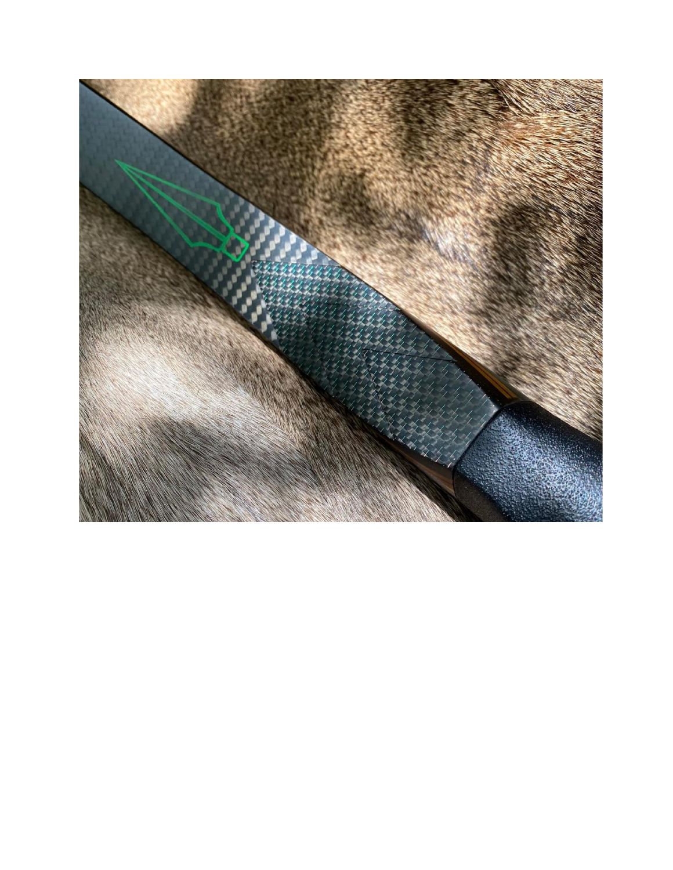